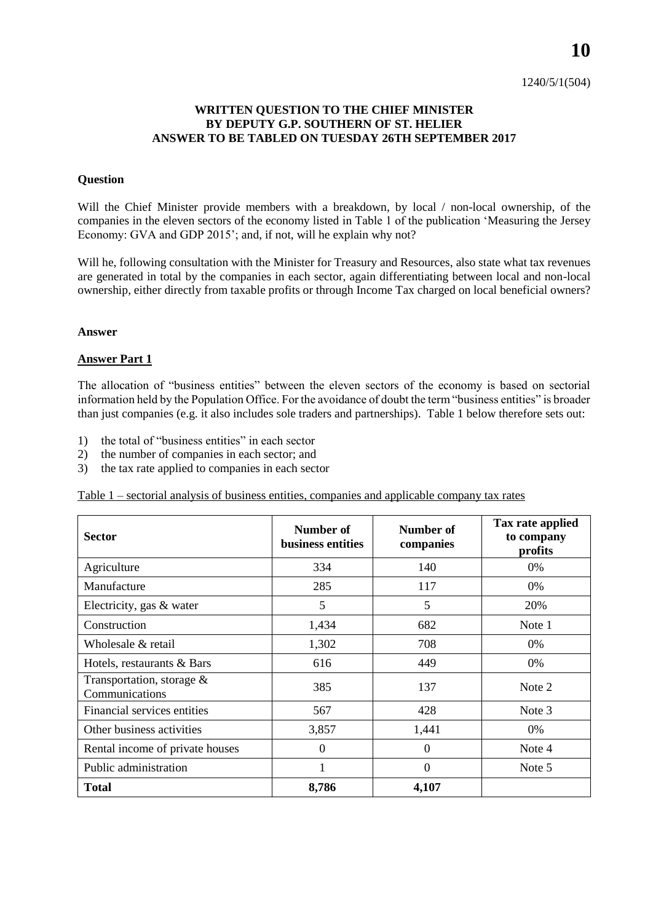# **WRITTEN QUESTION TO THE CHIEF MINISTER BY DEPUTY G.P. SOUTHERN OF ST. HELIER ANSWER TO BE TABLED ON TUESDAY 26TH SEPTEMBER 2017**

### **Question**

Will the Chief Minister provide members with a breakdown, by local / non-local ownership, of the companies in the eleven sectors of the economy listed in Table 1 of the publication 'Measuring the Jersey Economy: GVA and GDP 2015'; and, if not, will he explain why not?

Will he, following consultation with the Minister for Treasury and Resources, also state what tax revenues are generated in total by the companies in each sector, again differentiating between local and non-local ownership, either directly from taxable profits or through Income Tax charged on local beneficial owners?

#### **Answer**

# **Answer Part 1**

The allocation of "business entities" between the eleven sectors of the economy is based on sectorial information held by the Population Office. For the avoidance of doubt the term "business entities" is broader than just companies (e.g. it also includes sole traders and partnerships). Table 1 below therefore sets out:

- 1) the total of "business entities" in each sector
- 2) the number of companies in each sector; and
- 3) the tax rate applied to companies in each sector

Table 1 – sectorial analysis of business entities, companies and applicable company tax rates

| <b>Sector</b>                                  | Number of<br>Number of<br>business entities<br>companies |          | Tax rate applied<br>to company<br>profits |  |
|------------------------------------------------|----------------------------------------------------------|----------|-------------------------------------------|--|
| Agriculture                                    | 334                                                      | 140      | 0%                                        |  |
| Manufacture                                    | 285                                                      | 117      | 0%                                        |  |
| Electricity, gas & water                       | 5                                                        | 5        | 20%                                       |  |
| Construction                                   | 1,434                                                    | 682      | Note 1                                    |  |
| Wholesale & retail                             | 1,302                                                    | 708      | 0%                                        |  |
| Hotels, restaurants & Bars                     | 616                                                      | 449      | 0%                                        |  |
| Transportation, storage $\&$<br>Communications | 385                                                      | 137      | Note 2                                    |  |
| Financial services entities                    | 567                                                      | 428      | Note 3                                    |  |
| Other business activities                      | 3,857                                                    | 1,441    | 0%                                        |  |
| Rental income of private houses                | $\Omega$                                                 | $\Omega$ | Note 4                                    |  |
| Public administration                          |                                                          | $\Omega$ | Note 5                                    |  |
| <b>Total</b>                                   | 8,786                                                    | 4,107    |                                           |  |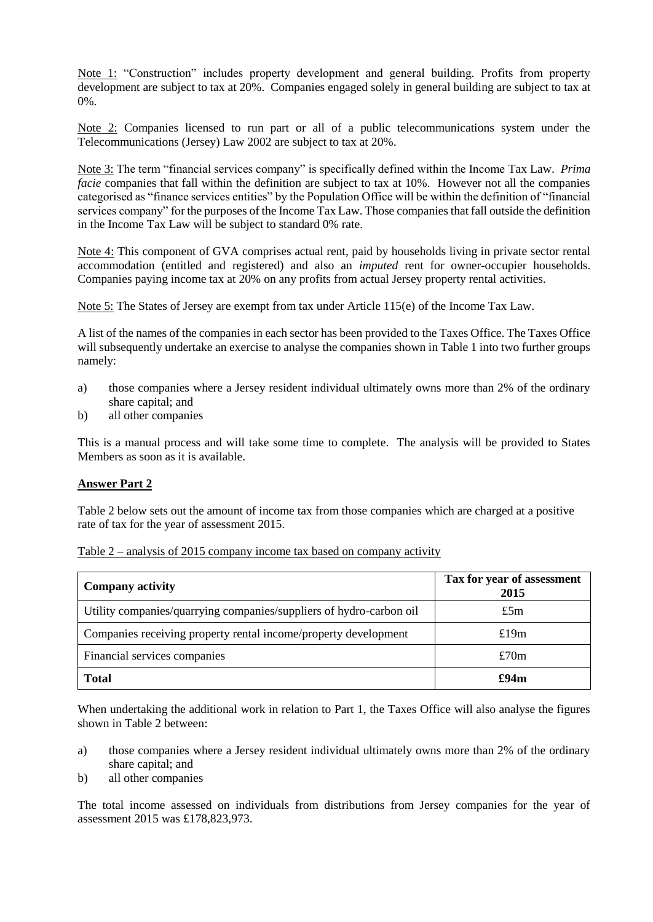Note 1: "Construction" includes property development and general building. Profits from property development are subject to tax at 20%. Companies engaged solely in general building are subject to tax at 0%.

Note 2: Companies licensed to run part or all of a public telecommunications system under the Telecommunications (Jersey) Law 2002 are subject to tax at 20%.

Note 3: The term "financial services company" is specifically defined within the Income Tax Law. *Prima facie* companies that fall within the definition are subject to tax at 10%. However not all the companies categorised as "finance services entities" by the Population Office will be within the definition of "financial services company" for the purposes of the Income Tax Law. Those companies that fall outside the definition in the Income Tax Law will be subject to standard 0% rate.

Note 4: This component of GVA comprises actual rent, paid by households living in private sector rental accommodation (entitled and registered) and also an *imputed* rent for owner-occupier households. Companies paying income tax at 20% on any profits from actual Jersey property rental activities.

Note 5: The States of Jersey are exempt from tax under Article 115(e) of the Income Tax Law.

A list of the names of the companies in each sector has been provided to the Taxes Office. The Taxes Office will subsequently undertake an exercise to analyse the companies shown in Table 1 into two further groups namely:

- a) those companies where a Jersey resident individual ultimately owns more than 2% of the ordinary share capital; and
- b) all other companies

This is a manual process and will take some time to complete. The analysis will be provided to States Members as soon as it is available.

# **Answer Part 2**

Table 2 below sets out the amount of income tax from those companies which are charged at a positive rate of tax for the year of assessment 2015.

| Table $2$ – analysis of 2015 company income tax based on company activity |  |  |  |
|---------------------------------------------------------------------------|--|--|--|
|                                                                           |  |  |  |

| <b>Company activity</b>                                             | Tax for year of assessment<br>2015 |  |  |
|---------------------------------------------------------------------|------------------------------------|--|--|
| Utility companies/quarrying companies/suppliers of hydro-carbon oil | £5 $m$                             |  |  |
| Companies receiving property rental income/property development     | £19m                               |  |  |
| Financial services companies                                        | £70 $m$                            |  |  |
| <b>Total</b>                                                        | £94m                               |  |  |

When undertaking the additional work in relation to Part 1, the Taxes Office will also analyse the figures shown in Table 2 between:

- a) those companies where a Jersey resident individual ultimately owns more than 2% of the ordinary share capital; and
- b) all other companies

The total income assessed on individuals from distributions from Jersey companies for the year of assessment 2015 was £178,823,973.